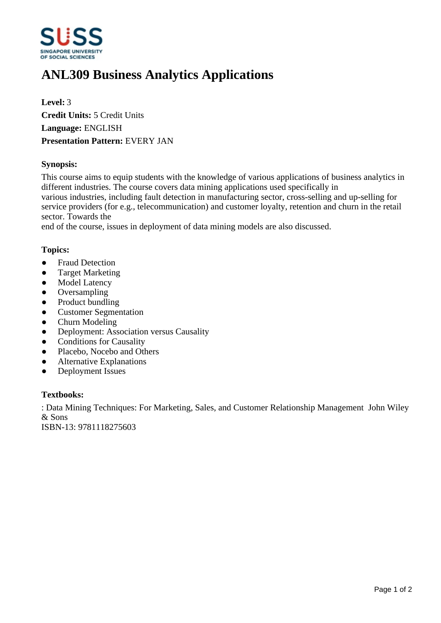

# **ANL309 Business Analytics Applications**

**Level:** 3 **Credit Units:** 5 Credit Units **Language:** ENGLISH **Presentation Pattern:** EVERY JAN

## **Synopsis:**

This course aims to equip students with the knowledge of various applications of business analytics in different industries. The course covers data mining applications used specifically in various industries, including fault detection in manufacturing sector, cross-selling and up-selling for service providers (for e.g., telecommunication) and customer loyalty, retention and churn in the retail sector. Towards the

end of the course, issues in deployment of data mining models are also discussed.

### **Topics:**

- Fraud Detection
- Target Marketing
- Model Latency
- Oversampling
- Product bundling
- Customer Segmentation
- Churn Modeling
- Deployment: Association versus Causality
- Conditions for Causality
- Placebo, Nocebo and Others
- Alternative Explanations
- Deployment Issues

#### **Textbooks:**

: Data Mining Techniques: For Marketing, Sales, and Customer Relationship Management John Wiley & Sons

ISBN-13: 9781118275603